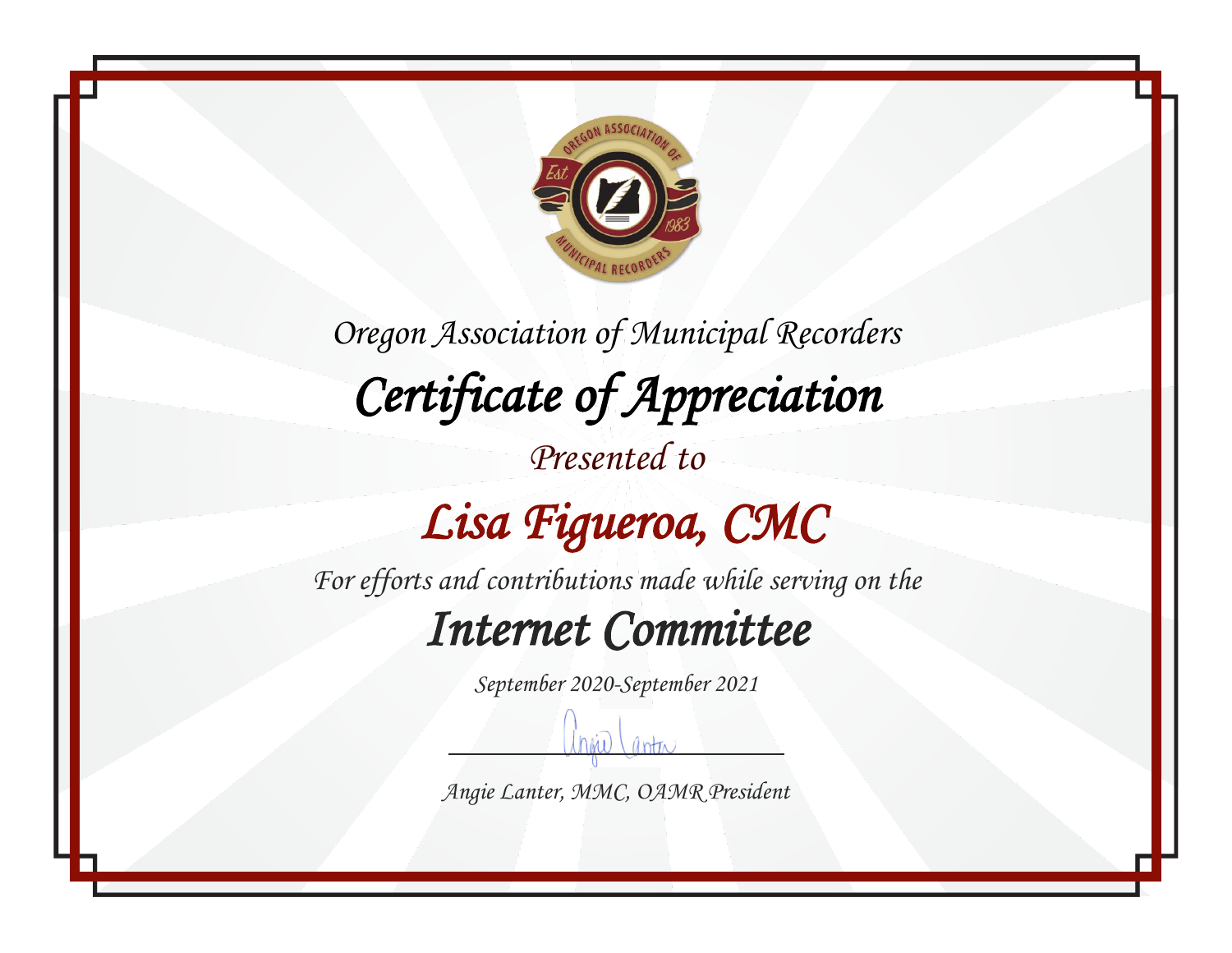

*Oregon Association of Municipal Recorders Certificate of Appreciation Presented to*

# *Lisa Figueroa, CMC*

*For efforts and contributions made while serving on the*

#### *Internet Committee*

*September 2020-September 2021*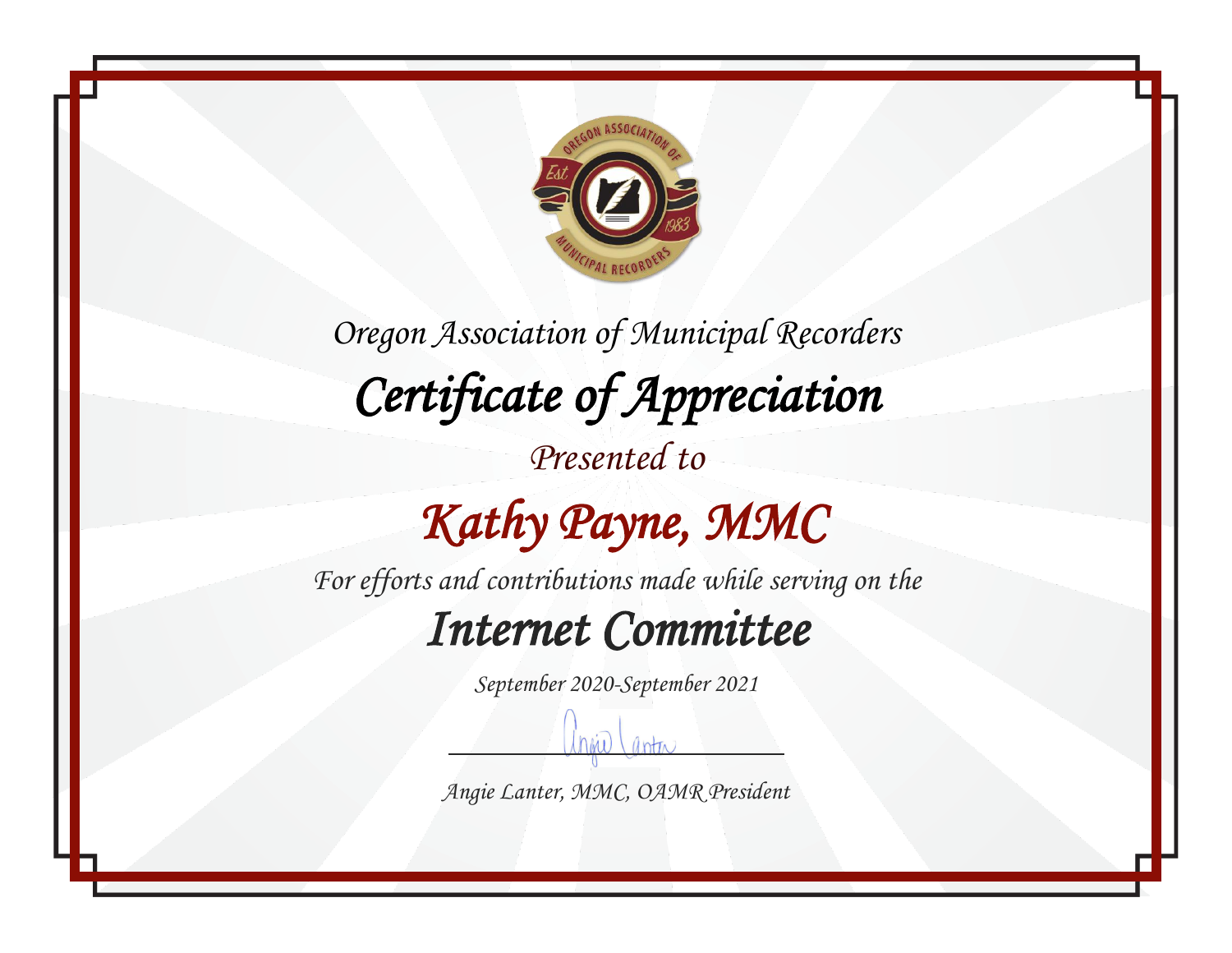

*Oregon Association of Municipal Recorders Certificate of Appreciation Presented to*

# *Kathy Payne, MMC*

*For efforts and contributions made while serving on the*

#### *Internet Committee*

*September 2020-September 2021*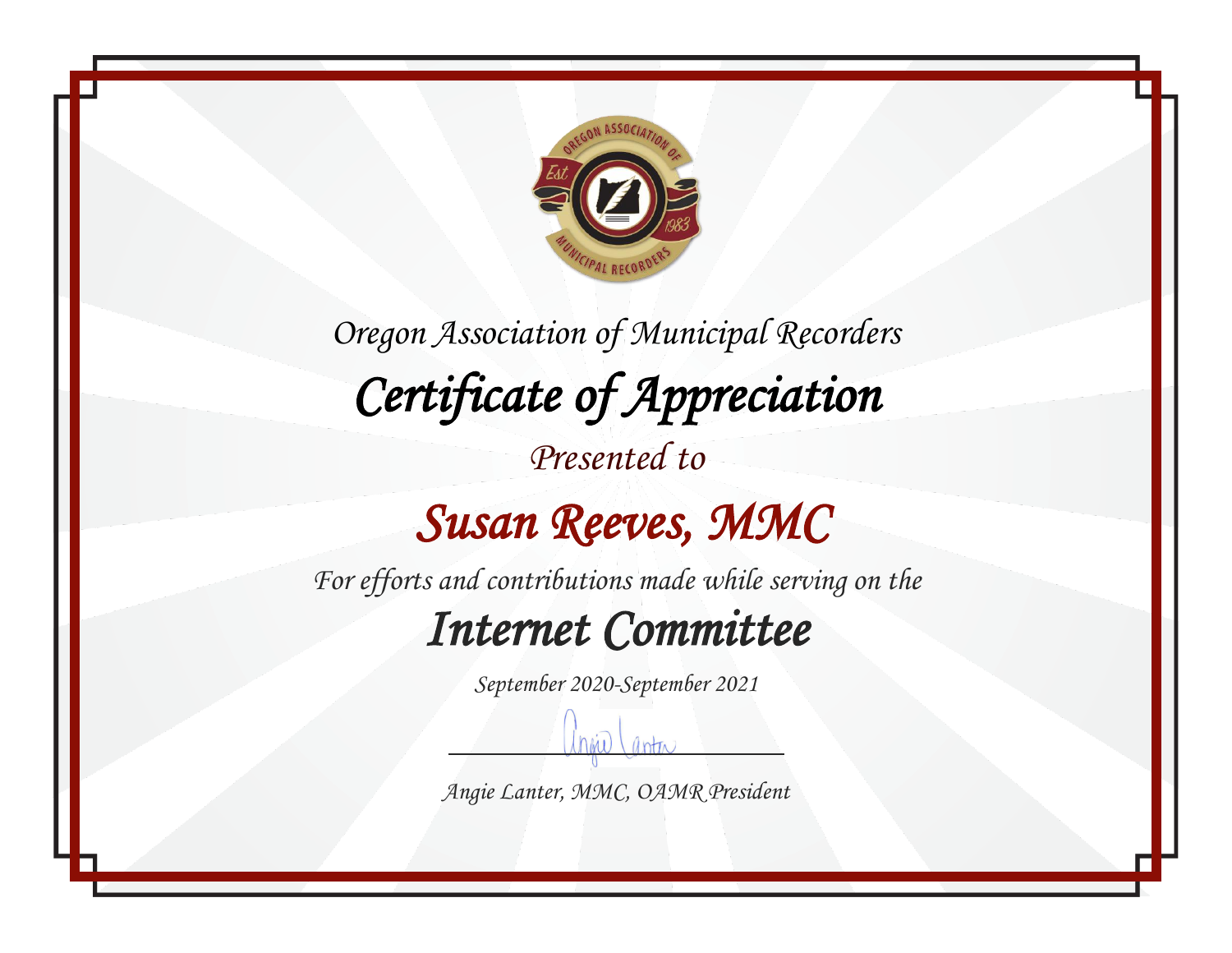

*Oregon Association of Municipal Recorders Certificate of Appreciation Presented to*

## *Susan Reeves, MMC*

*For efforts and contributions made while serving on the*

#### *Internet Committee*

*September 2020-September 2021*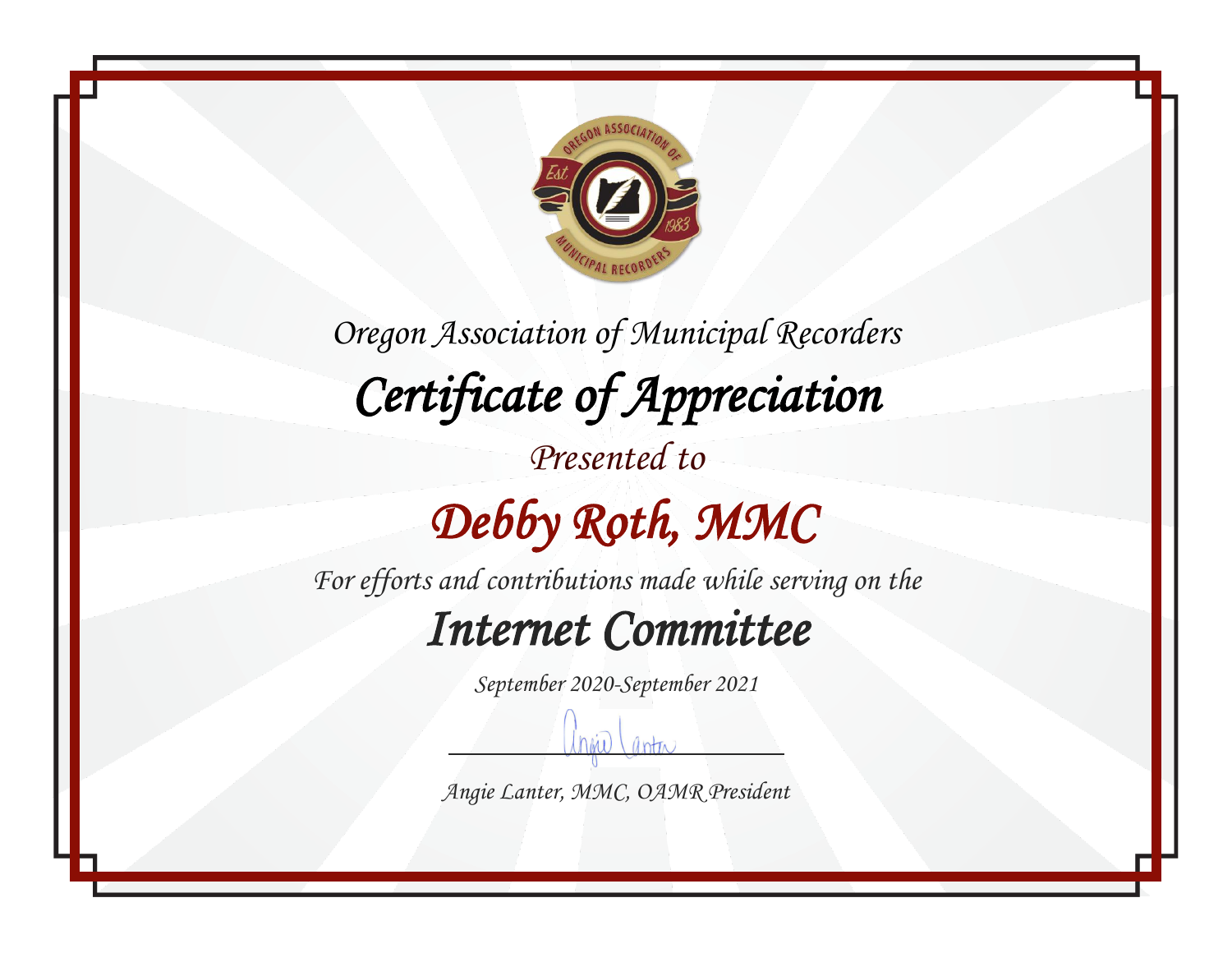

*Oregon Association of Municipal Recorders Certificate of Appreciation Presented to Debby Roth, MMC* 

*For efforts and contributions made while serving on the*

### *Internet Committee*

*September 2020-September 2021*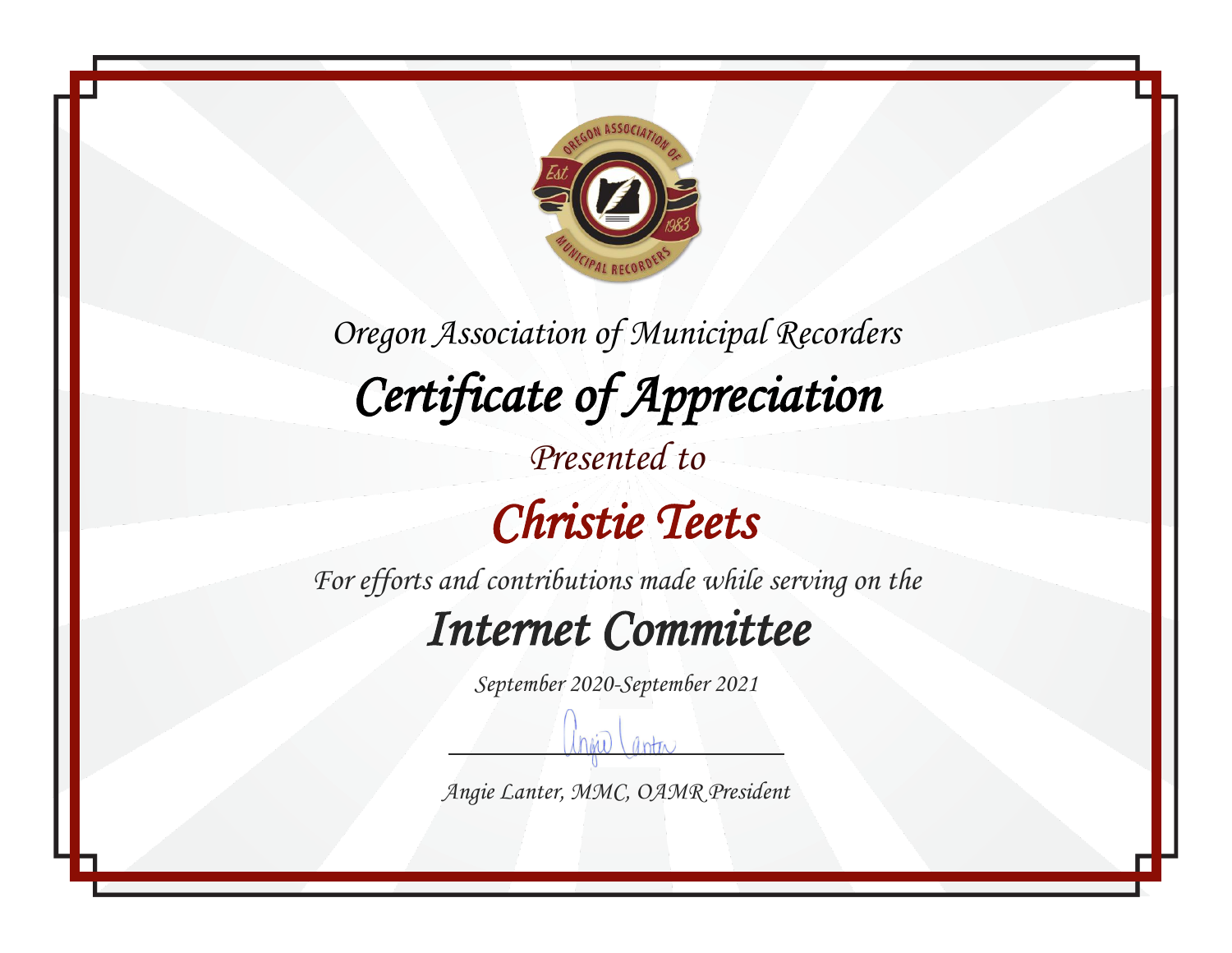

*Oregon Association of Municipal Recorders Certificate of Appreciation Presented to Christie Teets* 

*For efforts and contributions made while serving on the*

#### *Internet Committee*

*September 2020-September 2021*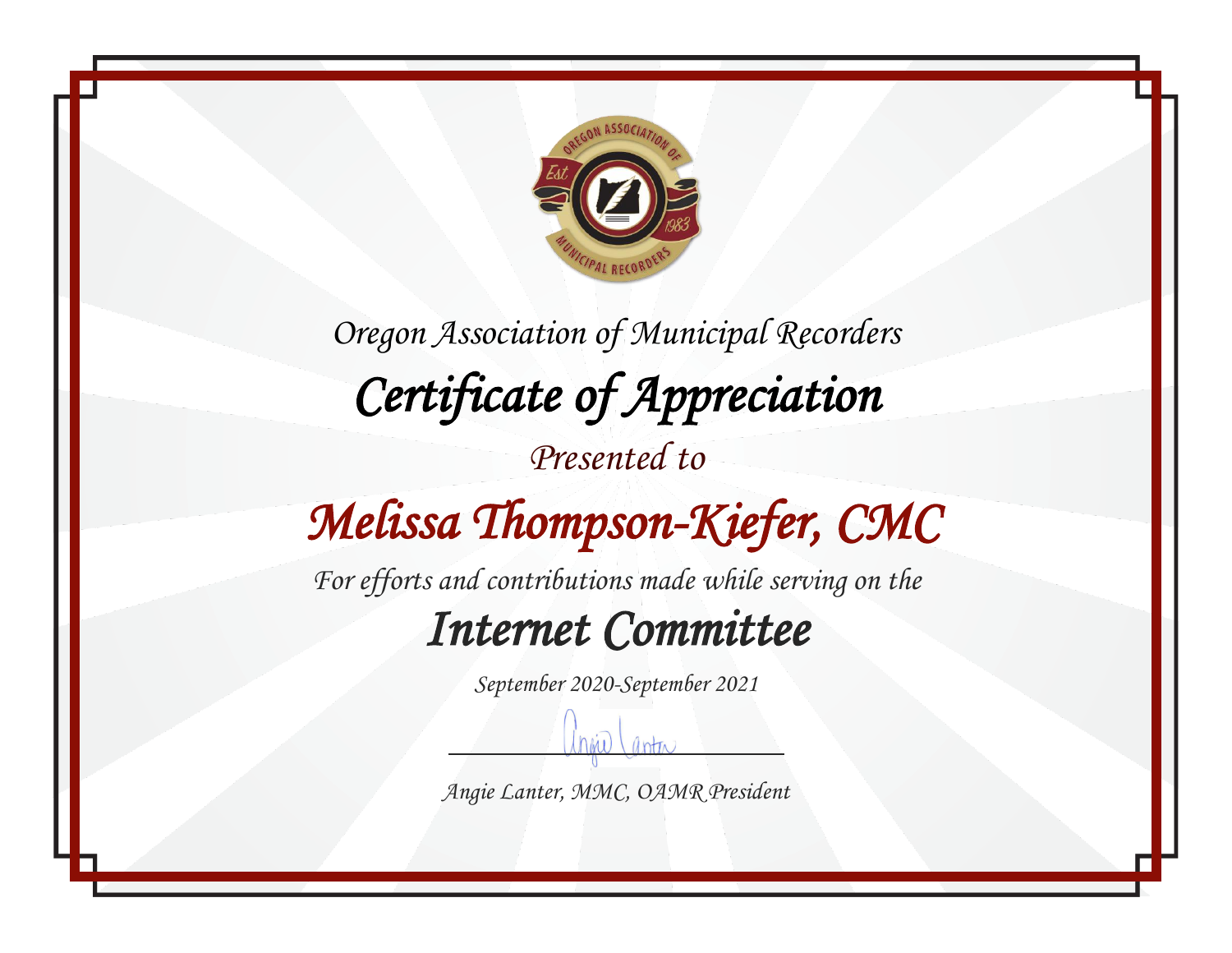

*Oregon Association of Municipal Recorders Certificate of Appreciation Presented to Melissa Thompson-Kiefer, CMC* 

*For efforts and contributions made while serving on the*

### *Internet Committee*

*September 2020-September 2021*